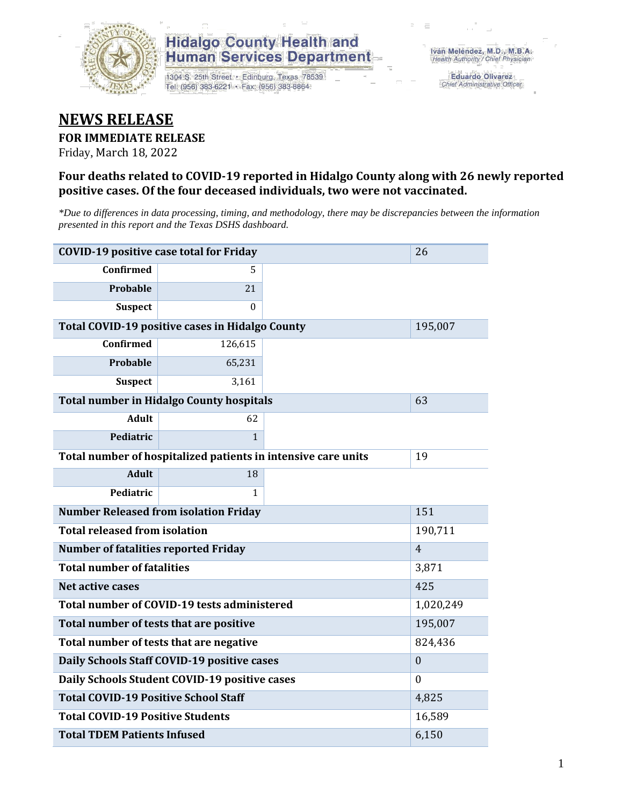

## **Hidalgo County Health and Human Services Department**

1304 S. 25th Street · Edinburg, Texas 78539 Tel: (956) 383-6221 · Fax: (956) 383-8864

**Eduardo Olivarez** Chief Administrative Officer

# **NEWS RELEASE**

#### **FOR IMMEDIATE RELEASE**

Friday, March 18, 2022

#### **Four deaths related to COVID-19 reported in Hidalgo County along with 26 newly reported positive cases. Of the four deceased individuals, two were not vaccinated.**

*\*Due to differences in data processing, timing, and methodology, there may be discrepancies between the information presented in this report and the Texas DSHS dashboard.*

| <b>COVID-19 positive case total for Friday</b><br>26 |                                                               |                |       |  |  |
|------------------------------------------------------|---------------------------------------------------------------|----------------|-------|--|--|
| <b>Confirmed</b>                                     | 5.                                                            |                |       |  |  |
| Probable                                             | 21                                                            |                |       |  |  |
| <b>Suspect</b>                                       | $\Omega$                                                      |                |       |  |  |
| Total COVID-19 positive cases in Hidalgo County      |                                                               | 195,007        |       |  |  |
| Confirmed                                            | 126,615                                                       |                |       |  |  |
| Probable                                             | 65,231                                                        |                |       |  |  |
| <b>Suspect</b>                                       | 3,161                                                         |                |       |  |  |
|                                                      | <b>Total number in Hidalgo County hospitals</b>               |                | 63    |  |  |
| <b>Adult</b>                                         | 62                                                            |                |       |  |  |
| Pediatric                                            | $\mathbf{1}$                                                  |                |       |  |  |
|                                                      | Total number of hospitalized patients in intensive care units | 19             |       |  |  |
| <b>Adult</b>                                         | 18                                                            |                |       |  |  |
| Pediatric                                            | 1                                                             |                |       |  |  |
| <b>Number Released from isolation Friday</b>         |                                                               | 151            |       |  |  |
| <b>Total released from isolation</b>                 |                                                               | 190,711        |       |  |  |
| <b>Number of fatalities reported Friday</b>          |                                                               | $\overline{4}$ |       |  |  |
| <b>Total number of fatalities</b>                    |                                                               |                | 3,871 |  |  |
| Net active cases                                     |                                                               | 425            |       |  |  |
| Total number of COVID-19 tests administered          |                                                               | 1,020,249      |       |  |  |
| Total number of tests that are positive              | 195,007                                                       |                |       |  |  |
| Total number of tests that are negative              |                                                               | 824,436        |       |  |  |
| Daily Schools Staff COVID-19 positive cases          |                                                               | $\mathbf{0}$   |       |  |  |
| Daily Schools Student COVID-19 positive cases        |                                                               | $\Omega$       |       |  |  |
| <b>Total COVID-19 Positive School Staff</b>          | 4,825                                                         |                |       |  |  |
| <b>Total COVID-19 Positive Students</b>              | 16,589                                                        |                |       |  |  |
| <b>Total TDEM Patients Infused</b>                   |                                                               | 6,150          |       |  |  |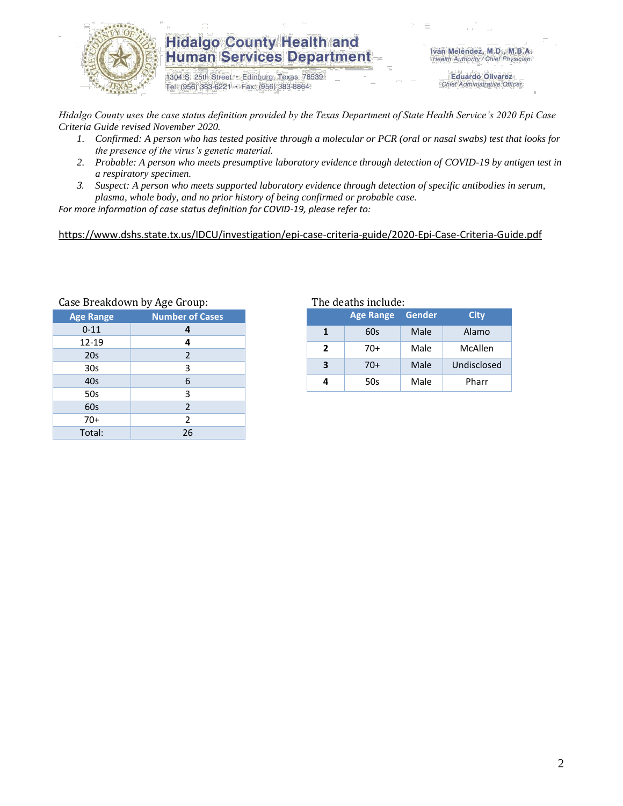

## **Hidalgo County Health and Human Services Department**

1304 S. 25th Street · Edinburg, Texas 78539 Tel: (956) 383-6221 · Fax: (956) 383-8864

Iván Meléndez, M.D., M.B.A. Health Authority / Chief Physician

> **Eduardo Olivarez** Chief Administrative Officer

*Hidalgo County uses the case status definition provided by the Texas Department of State Health Service's 2020 Epi Case Criteria Guide revised November 2020.*

- *1. Confirmed: A person who has tested positive through a molecular or PCR (oral or nasal swabs) test that looks for the presence of the virus's genetic material.*
- *2. Probable: A person who meets presumptive laboratory evidence through detection of COVID-19 by antigen test in a respiratory specimen.*
- *3. Suspect: A person who meets supported laboratory evidence through detection of specific antibodies in serum, plasma, whole body, and no prior history of being confirmed or probable case.*

*For more information of case status definition for COVID-19, please refer to:*

<https://www.dshs.state.tx.us/IDCU/investigation/epi-case-criteria-guide/2020-Epi-Case-Criteria-Guide.pdf>

| case breakdown by Age droup. |                        |  |  |  |
|------------------------------|------------------------|--|--|--|
| <b>Age Range</b>             | <b>Number of Cases</b> |  |  |  |
| $0 - 11$                     | 4                      |  |  |  |
| 12-19                        | 4                      |  |  |  |
| 20s                          | $\overline{2}$         |  |  |  |
| 30s                          | 3                      |  |  |  |
| 40s                          | 6                      |  |  |  |
| 50s                          | 3                      |  |  |  |
| 60s                          | $\overline{2}$         |  |  |  |
| $70+$                        | 2                      |  |  |  |
| Total:                       | 26                     |  |  |  |

## Case Breakdown by Age Group: The deaths include:

|   | <b>Age Range</b> | <b>Gender</b> | <b>City</b> |
|---|------------------|---------------|-------------|
|   | 60s              | Male          | Alamo       |
| 2 | 70+              | Male          | McAllen     |
| 3 | $70+$            | Male          | Undisclosed |
|   | 50s              | Male          | Pharr       |